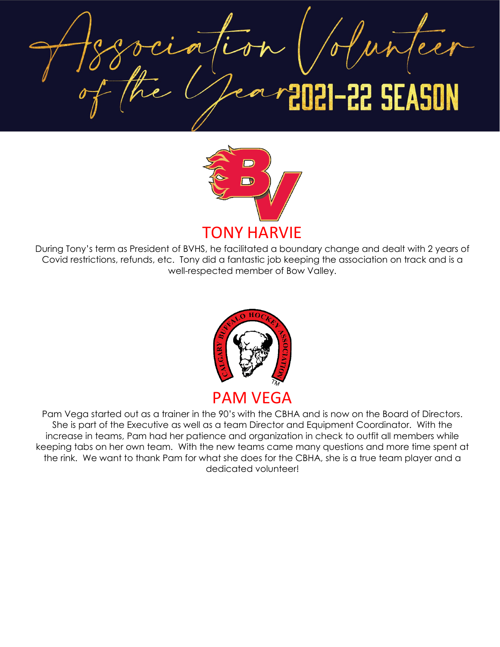**22 SEASON** 



During Tony's term as President of BVHS, he facilitated a boundary change and dealt with 2 years of Covid restrictions, refunds, etc. Tony did a fantastic job keeping the association on track and is a well-respected member of Bow Valley.



PAM VEGA

Pam Vega started out as a trainer in the 90's with the CBHA and is now on the Board of Directors. She is part of the Executive as well as a team Director and Equipment Coordinator. With the increase in teams, Pam had her patience and organization in check to outfit all members while keeping tabs on her own team. With the new teams came many questions and more time spent at the rink. We want to thank Pam for what she does for the CBHA, she is a true team player and a dedicated volunteer!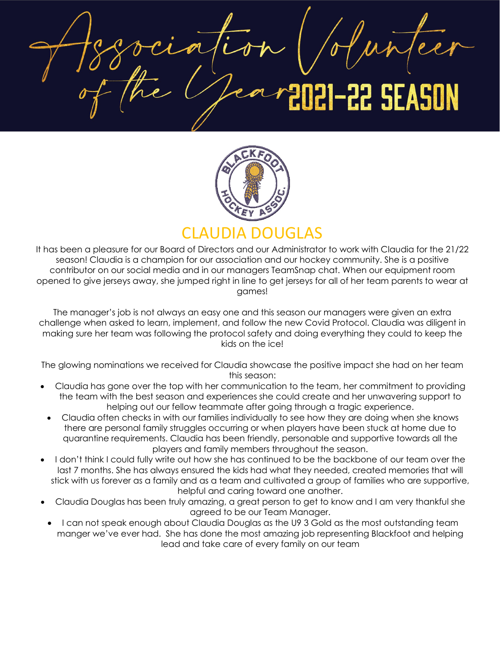22 SEASO



# CLAUDIA DOUGLAS

It has been a pleasure for our Board of Directors and our Administrator to work with Claudia for the 21/22 season! Claudia is a champion for our association and our hockey community. She is a positive contributor on our social media and in our managers TeamSnap chat. When our equipment room opened to give jerseys away, she jumped right in line to get jerseys for all of her team parents to wear at games!

The manager's job is not always an easy one and this season our managers were given an extra challenge when asked to learn, implement, and follow the new Covid Protocol. Claudia was diligent in making sure her team was following the protocol safety and doing everything they could to keep the kids on the ice!

The glowing nominations we received for Claudia showcase the positive impact she had on her team this season:

- Claudia has gone over the top with her communication to the team, her commitment to providing the team with the best season and experiences she could create and her unwavering support to helping out our fellow teammate after going through a tragic experience.
- Claudia often checks in with our families individually to see how they are doing when she knows there are personal family struggles occurring or when players have been stuck at home due to quarantine requirements. Claudia has been friendly, personable and supportive towards all the players and family members throughout the season.
- I don't think I could fully write out how she has continued to be the backbone of our team over the last 7 months. She has always ensured the kids had what they needed, created memories that will stick with us forever as a family and as a team and cultivated a group of families who are supportive, helpful and caring toward one another.
- Claudia Douglas has been truly amazing, a great person to get to know and I am very thankful she agreed to be our Team Manager.
- I can not speak enough about Claudia Douglas as the U9 3 Gold as the most outstanding team manger we've ever had. She has done the most amazing job representing Blackfoot and helping lead and take care of every family on our team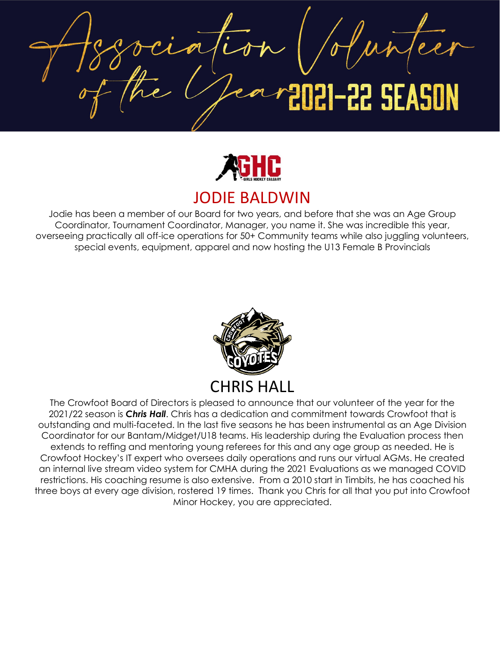22 SEASON



### JODIE BALDWIN

Jodie has been a member of our Board for two years, and before that she was an Age Group Coordinator, Tournament Coordinator, Manager, you name it. She was incredible this year, overseeing practically all off-ice operations for 50+ Community teams while also juggling volunteers, special events, equipment, apparel and now hosting the U13 Female B Provincials



The Crowfoot Board of Directors is pleased to announce that our volunteer of the year for the 2021/22 season is *Chris Hall*. Chris has a dedication and commitment towards Crowfoot that is outstanding and multi-faceted. In the last five seasons he has been instrumental as an Age Division Coordinator for our Bantam/Midget/U18 teams. His leadership during the Evaluation process then extends to reffing and mentoring young referees for this and any age group as needed. He is Crowfoot Hockey's IT expert who oversees daily operations and runs our virtual AGMs. He created an internal live stream video system for CMHA during the 2021 Evaluations as we managed COVID restrictions. His coaching resume is also extensive. From a 2010 start in Timbits, he has coached his three boys at every age division, rostered 19 times. Thank you Chris for all that you put into Crowfoot Minor Hockey, you are appreciated.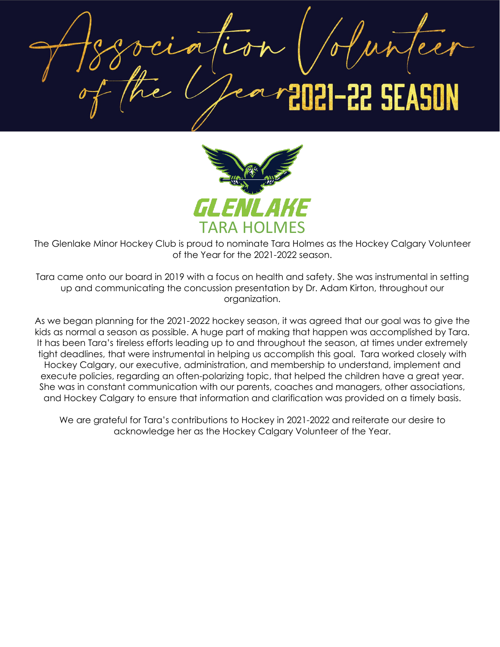22 SEASO



The Glenlake Minor Hockey Club is proud to nominate Tara Holmes as the Hockey Calgary Volunteer of the Year for the 2021-2022 season.

Tara came onto our board in 2019 with a focus on health and safety. She was instrumental in setting up and communicating the concussion presentation by Dr. Adam Kirton, throughout our organization.

As we began planning for the 2021-2022 hockey season, it was agreed that our goal was to give the kids as normal a season as possible. A huge part of making that happen was accomplished by Tara. It has been Tara's tireless efforts leading up to and throughout the season, at times under extremely tight deadlines, that were instrumental in helping us accomplish this goal. Tara worked closely with Hockey Calgary, our executive, administration, and membership to understand, implement and execute policies, regarding an often-polarizing topic, that helped the children have a great year. She was in constant communication with our parents, coaches and managers, other associations, and Hockey Calgary to ensure that information and clarification was provided on a timely basis.

We are grateful for Tara's contributions to Hockey in 2021-2022 and reiterate our desire to acknowledge her as the Hockey Calgary Volunteer of the Year.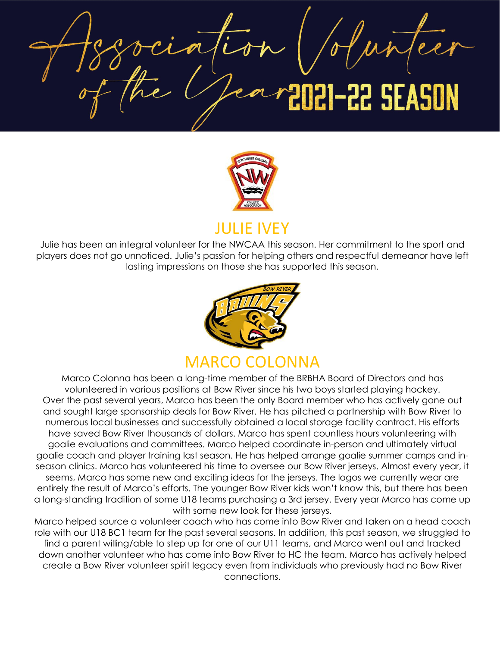**22 SEASON** 



Julie has been an integral volunteer for the NWCAA this season. Her commitment to the sport and players does not go unnoticed. Julie's passion for helping others and respectful demeanor have left lasting impressions on those she has supported this season.



Marco Colonna has been a long-time member of the BRBHA Board of Directors and has volunteered in various positions at Bow River since his two boys started playing hockey. Over the past several years, Marco has been the only Board member who has actively gone out and sought large sponsorship deals for Bow River. He has pitched a partnership with Bow River to numerous local businesses and successfully obtained a local storage facility contract. His efforts have saved Bow River thousands of dollars. Marco has spent countless hours volunteering with goalie evaluations and committees. Marco helped coordinate in-person and ultimately virtual goalie coach and player training last season. He has helped arrange goalie summer camps and inseason clinics. Marco has volunteered his time to oversee our Bow River jerseys. Almost every year, it seems, Marco has some new and exciting ideas for the jerseys. The logos we currently wear are entirely the result of Marco's efforts. The younger Bow River kids won't know this, but there has been a long-standing tradition of some U18 teams purchasing a 3rd jersey. Every year Marco has come up with some new look for these jerseys.

Marco helped source a volunteer coach who has come into Bow River and taken on a head coach role with our U18 BC1 team for the past several seasons. In addition, this past season, we struggled to find a parent willing/able to step up for one of our U11 teams, and Marco went out and tracked down another volunteer who has come into Bow River to HC the team. Marco has actively helped create a Bow River volunteer spirit legacy even from individuals who previously had no Bow River connections.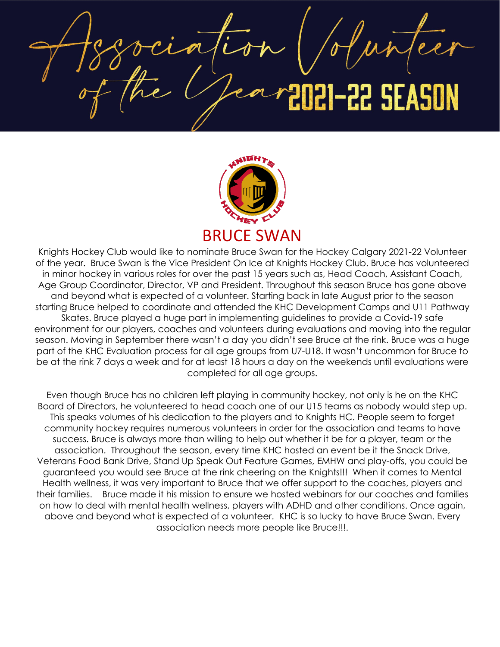

Knights Hockey Club would like to nominate Bruce Swan for the Hockey Calgary 2021-22 Volunteer of the year. Bruce Swan is the Vice President On Ice at Knights Hockey Club. Bruce has volunteered in minor hockey in various roles for over the past 15 years such as, Head Coach, Assistant Coach, Age Group Coordinator, Director, VP and President. Throughout this season Bruce has gone above and beyond what is expected of a volunteer. Starting back in late August prior to the season starting Bruce helped to coordinate and attended the KHC Development Camps and U11 Pathway Skates. Bruce played a huge part in implementing guidelines to provide a Covid-19 safe environment for our players, coaches and volunteers during evaluations and moving into the regular season. Moving in September there wasn't a day you didn't see Bruce at the rink. Bruce was a huge part of the KHC Evaluation process for all age groups from U7-U18. It wasn't uncommon for Bruce to be at the rink 7 days a week and for at least 18 hours a day on the weekends until evaluations were completed for all age groups.

Even though Bruce has no children left playing in community hockey, not only is he on the KHC Board of Directors, he volunteered to head coach one of our U15 teams as nobody would step up. This speaks volumes of his dedication to the players and to Knights HC. People seem to forget community hockey requires numerous volunteers in order for the association and teams to have success. Bruce is always more than willing to help out whether it be for a player, team or the association. Throughout the season, every time KHC hosted an event be it the Snack Drive, Veterans Food Bank Drive, Stand Up Speak Out Feature Games, EMHW and play-offs, you could be guaranteed you would see Bruce at the rink cheering on the Knights!!! When it comes to Mental Health wellness, it was very important to Bruce that we offer support to the coaches, players and their families. Bruce made it his mission to ensure we hosted webinars for our coaches and families on how to deal with mental health wellness, players with ADHD and other conditions. Once again, above and beyond what is expected of a volunteer. KHC is so lucky to have Bruce Swan. Every association needs more people like Bruce!!!.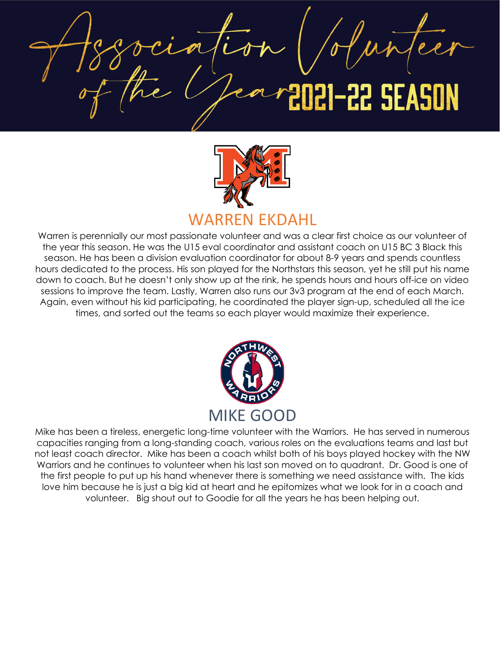22 SEA



Warren is perennially our most passionate volunteer and was a clear first choice as our volunteer of the year this season. He was the U15 eval coordinator and assistant coach on U15 BC 3 Black this season. He has been a division evaluation coordinator for about 8-9 years and spends countless hours dedicated to the process. His son played for the Northstars this season, yet he still put his name down to coach. But he doesn't only show up at the rink, he spends hours and hours off-ice on video sessions to improve the team. Lastly, Warren also runs our 3v3 program at the end of each March. Again, even without his kid participating, he coordinated the player sign-up, scheduled all the ice times, and sorted out the teams so each player would maximize their experience.



Mike has been a tireless, energetic long-time volunteer with the Warriors. He has served in numerous capacities ranging from a long-standing coach, various roles on the evaluations teams and last but not least coach director. Mike has been a coach whilst both of his boys played hockey with the NW Warriors and he continues to volunteer when his last son moved on to quadrant. Dr. Good is one of the first people to put up his hand whenever there is something we need assistance with. The kids love him because he is just a big kid at heart and he epitomizes what we look for in a coach and volunteer. Big shout out to Goodie for all the years he has been helping out.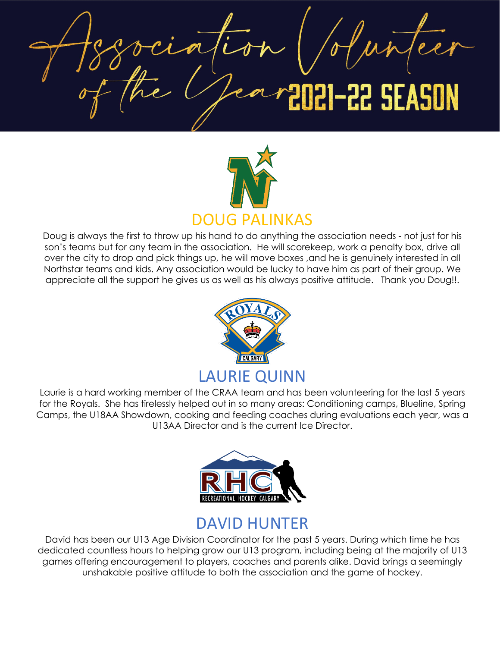22 SEASON



Doug is always the first to throw up his hand to do anything the association needs - not just for his son's teams but for any team in the association. He will scorekeep, work a penalty box, drive all over the city to drop and pick things up, he will move boxes ,and he is genuinely interested in all Northstar teams and kids. Any association would be lucky to have him as part of their group. We appreciate all the support he gives us as well as his always positive attitude. Thank you Doug!!.



Laurie is a hard working member of the CRAA team and has been volunteering for the last 5 years for the Royals. She has tirelessly helped out in so many areas: Conditioning camps, Blueline, Spring Camps, the U18AA Showdown, cooking and feeding coaches during evaluations each year, was a U13AA Director and is the current Ice Director.



# DAVID HUNTER

David has been our U13 Age Division Coordinator for the past 5 years. During which time he has dedicated countless hours to helping grow our U13 program, including being at the majority of U13 games offering encouragement to players, coaches and parents alike. David brings a seemingly unshakable positive attitude to both the association and the game of hockey.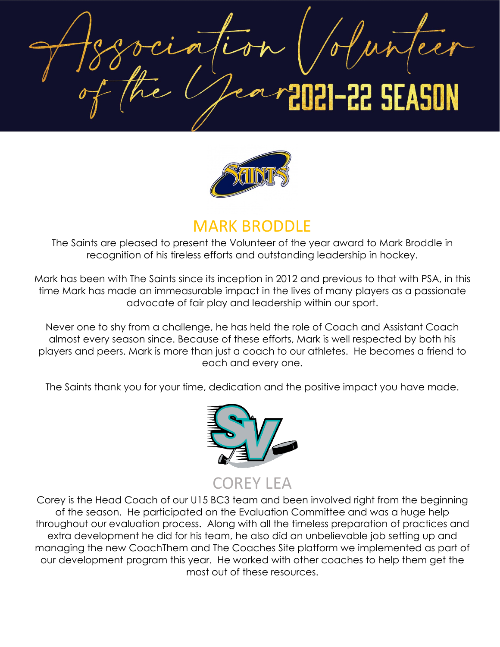**22 SEASON** 



# MARK BRODDLE

The Saints are pleased to present the Volunteer of the year award to Mark Broddle in recognition of his tireless efforts and outstanding leadership in hockey.

Mark has been with The Saints since its inception in 2012 and previous to that with PSA, in this time Mark has made an immeasurable impact in the lives of many players as a passionate advocate of fair play and leadership within our sport.

Never one to shy from a challenge, he has held the role of Coach and Assistant Coach almost every season since. Because of these efforts, Mark is well respected by both his players and peers. Mark is more than just a coach to our athletes. He becomes a friend to each and every one.

The Saints thank you for your time, dedication and the positive impact you have made.



COREY LEA

Corey is the Head Coach of our U15 BC3 team and been involved right from the beginning of the season. He participated on the Evaluation Committee and was a huge help throughout our evaluation process. Along with all the timeless preparation of practices and extra development he did for his team, he also did an unbelievable job setting up and managing the new CoachThem and The Coaches Site platform we implemented as part of our development program this year. He worked with other coaches to help them get the most out of these resources.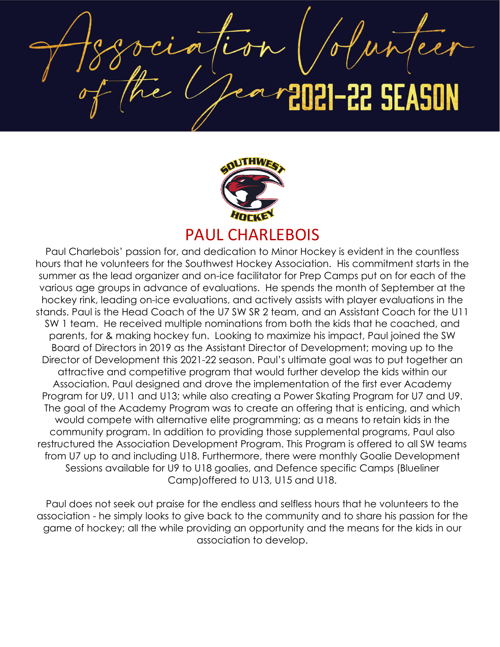22 SEASON



### PAUL CHARLEBOIS

Paul Charlebois' passion for, and dedication to Minor Hockey is evident in the countless hours that he volunteers for the Southwest Hockey Association. His commitment starts in the summer as the lead organizer and on-ice facilitator for Prep Camps put on for each of the various age groups in advance of evaluations. He spends the month of September at the hockey rink, leading on-ice evaluations, and actively assists with player evaluations in the stands. Paul is the Head Coach of the U7 SW SR 2 team, and an Assistant Coach for the U11 SW 1 team. He received multiple nominations from both the kids that he coached, and parents, for & making hockey fun. Looking to maximize his impact, Paul joined the SW Board of Directors in 2019 as the Assistant Director of Development; moving up to the Director of Development this 2021-22 season. Paul's ultimate goal was to put together an attractive and competitive program that would further develop the kids within our Association. Paul designed and drove the implementation of the first ever Academy Program for U9, U11 and U13; while also creating a Power Skating Program for U7 and U9. The goal of the Academy Program was to create an offering that is enticing, and which would compete with alternative elite programming; as a means to retain kids in the community program. In addition to providing those supplemental programs, Paul also restructured the Association Development Program. This Program is offered to all SW teams from U7 up to and including U18. Furthermore, there were monthly Goalie Development Sessions available for U9 to U18 goalies, and Defence specific Camps (Blueliner Camp)offered to U13, U15 and U18.

Paul does not seek out praise for the endless and selfless hours that he volunteers to the association - he simply looks to give back to the community and to share his passion for the game of hockey; all the while providing an opportunity and the means for the kids in our association to develop.